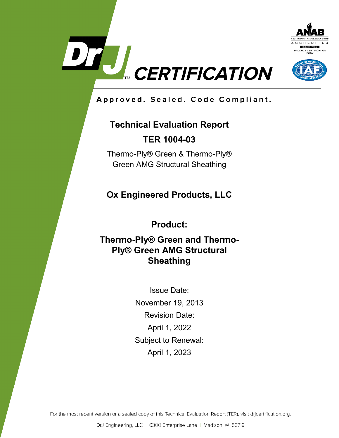



Approved. Sealed. Code Compliant.

# **Technical Evaluation Report TER 1004-03**

Thermo-Ply® Green & Thermo-Ply® Green AMG Structural Sheathing

**Ox Engineered Products, LLC**

**Product:**

# **Thermo-Ply® Green and Thermo-Ply® Green AMG Structural Sheathing**

Issue Date: November 19, 2013 Revision Date: April 1, 2022 Subject to Renewal: April 1, 2023

For the most recent version or a sealed copy of this Technical Evaluation Report (TER), visit drjcertification.org.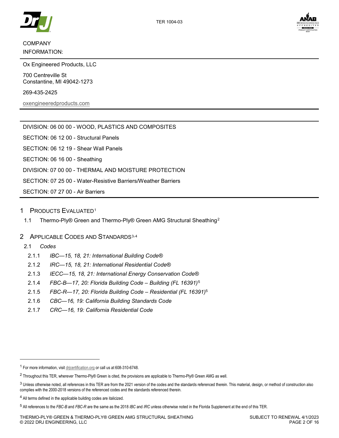



# COMPANY INFORMATION:

Ox Engineered Products, LLC

700 Centreville St Constantine, MI 49042-1273

269-435-2425

[oxengineeredproducts.com](http://www.oxengineeredproducts.com/product/thermo-ply/)

DIVISION: 06 00 00 - WOOD, PLASTICS AND COMPOSITES

SECTION: 06 12 00 - Structural Panels

SECTION: 06 12 19 - Shear Wall Panels

SECTION: 06 16 00 - Sheathing

DIVISION: 07 00 00 - THERMAL AND MOISTURE PROTECTION

SECTION: 07 25 00 - Water-Resistive Barriers/Weather Barriers

SECTION: 07 27 00 - Air Barriers

## 1 PRODUCTS EVALUATED[1](#page-1-1)

<span id="page-1-7"></span>1.1 Thermo-Ply® Green and Thermo-Ply® Green AMG Structural Sheathing<sup>[2](#page-1-2)</sup>

# <span id="page-1-6"></span>2 APPLICABLE CODES AND STANDARDS<sup>[3,](#page-1-3)[4](#page-1-4)</sup>

### 2.1 *Codes*

j

- 2.1.1 *IBC—15, 18, 21: International Building Code®*
- 2.1.2 *IRC—15, 18, 21: International Residential Code®*
- 2.1.3 *IECC—15, 18, 21: International Energy Conservation Code®*
- <span id="page-1-0"></span>2.1.4 *FBC-B—17, 20: Florida Building Code – Building (FL 16391)*[5](#page-1-5)
- 2.1.5 *FBC-R—17, 20: Florida Building Code – Residential (FL 16391)*[5](#page-1-0)
- 2.1.6 *CBC—16, 19: California Building Standards Code*
- 2.1.7 *CRC—16, 19: California Residential Code*

<span id="page-1-1"></span><sup>1</sup> For more information, visi[t drjcertification.org](https://www.drjcertification.org/) or call us at 608-310-6748.

<span id="page-1-2"></span><sup>2</sup> Throughout this TER, wherever Thermo-Ply® Green is cited, the provisions are applicable to Thermo-Ply® Green AMG as well.

<span id="page-1-3"></span><sup>&</sup>lt;sup>3</sup> Unless otherwise noted, all references in this TER are from the 2021 version of the codes and the standards referenced therein. This material, design, or method of construction also complies with the 2000-2018 versions of the referenced codes and the standards referenced therein.

<span id="page-1-4"></span><sup>4</sup> All terms defined in the applicable building codes are italicized.

<span id="page-1-5"></span><sup>5</sup> All references to the *FBC-B* and *FBC-R* are the same as the 2018 *IBC* and *IRC* unless otherwise noted in the Florida Supplement at the end of this TER.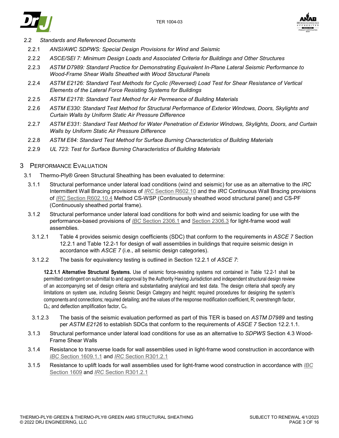



2.2 *Standards and Referenced Documents*

- 2.2.1 *ANSI/AWC SDPWS: Special Design Provisions for Wind and Seismic*
- 2.2.2 *ASCE/SEI 7: Minimum Design Loads and Associated Criteria for Buildings and Other Structures*
- 2.2.3 *ASTM D7989: Standard Practice for Demonstrating Equivalent In-Plane Lateral Seismic Performance to Wood-Frame Shear Walls Sheathed with Wood Structural Panels*
- 2.2.4 *ASTM E2126: Standard Test Methods for Cyclic (Reversed) Load Test for Shear Resistance of Vertical Elements of the Lateral Force Resisting Systems for Buildings*
- 2.2.5 *ASTM E2178: Standard Test Method for Air Permeance of Building Materials*
- 2.2.6 *ASTM E330: Standard Test Method for Structural Performance of Exterior Windows, Doors, Skylights and Curtain Walls by Uniform Static Air Pressure Difference*
- 2.2.7 *ASTM E331: Standard Test Method for Water Penetration of Exterior Windows, Skylights, Doors, and Curtain Walls by Uniform Static Air Pressure Difference*
- 2.2.8 *ASTM E84: Standard Test Method for Surface Burning Characteristics of Building Materials*
- 2.2.9 *UL 723: Test for Surface Burning Characteristics of Building Materials*

## <span id="page-2-0"></span>3 PERFORMANCE EVALUATION

- 3.1 Thermo-Ply® Green Structural Sheathing has been evaluated to determine:
	- 3.1.1 Structural performance under lateral load conditions (wind and seismic) for use as an alternative to the *IRC* Intermittent Wall Bracing provisions of *IRC* [Section R602.10](https://www.drjcertification.org/2021/irc/section-R602.10) and the *IRC* Continuous Wall Bracing provisions of *IRC* [Section R602.10.4](https://www.drjcertification.org/2021/irc/section-R602.10.4) Method CS-WSP (Continuously sheathed wood structural panel) and CS-PF (Continuously sheathed portal frame).
	- 3.1.2 Structural performance under lateral load conditions for both wind and seismic loading for use with the performance-based provisions of *IBC* [Section 2306.1](https://www.drjcertification.org/2021/ibc/section-2306.1) and [Section 2306.3](https://www.drjcertification.org/2021/ibc/section-2306.3) for light-frame wood wall assemblies.
		- 3.1.2.1 [Table 4](#page-7-0) provides seismic design coefficients (SDC) that conform to the requirements in *ASCE 7* Section 12.2.1 and Table 12.2-1 for design of wall assemblies in buildings that require seismic design in accordance with *ASCE 7* (i.e., all seismic design categories).
	- 3.1.2.2 The basis for equivalency testing is outlined in Section 12.2.1 of *ASCE 7*:

**12.2.1.1 Alternative Structural Systems.** Use of seismic force-resisting systems not contained in Table 12.2-1 shall be permitted contingent on submittal to and approval by the Authority Having Jurisdiction and independent structural design review of an accompanying set of design criteria and substantiating analytical and test data. The design criteria shall specify any limitations on system use, including Seismic Design Category and height; required procedures for designing the system's components and connections; required detailing; and the values of the response modification coefficient, R; overstrength factor,  $\Omega_{\rm o}$ ; and deflection amplification factor,  $C_{\rm d}$ .

- 3.1.2.3 The basis of the seismic evaluation performed as part of this TER is based on *ASTM D7989* and testing per *ASTM E2126* to establish SDCs that conform to the requirements of *ASCE 7* Section 12.2.1.1.
- 3.1.3 Structural performance under lateral load conditions for use as an alternative to *SDPWS* Section 4.3 Wood-Frame Shear Walls
- 3.1.4 Resistance to transverse loads for wall assemblies used in light-frame wood construction in accordance with *IBC* [Section 1609.1.1](https://www.drjcertification.org/2021/ibc/section-1609.1.1) and *IRC* [Section R301.2.1](https://www.drjcertification.org/2021/irc/section-R301.2.1)
- 3.1.5 Resistance to uplift loads for wall assemblies used for light-frame wood construction in accordance with *[IBC](https://www.drjcertification.org/2021/ibc/section-1609)* [Section 1609](https://www.drjcertification.org/2021/ibc/section-1609) and *IRC* [Section R301.2.1](https://www.drjcertification.org/2021/irc/section-R301.2.1)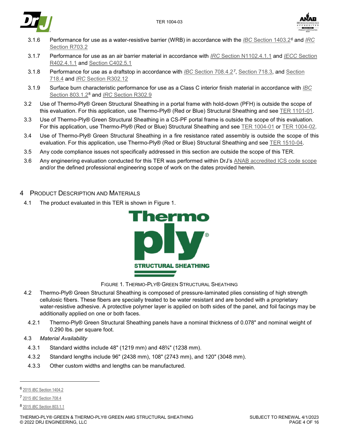



- 3.1.6 Performance for use as a water-resistive barrier (WRB) in accordance with the *IBC* [Section 1403.2](https://www.drjcertification.org/2021/ibc/section-1403.2)*[6](#page-3-1)* and *[IRC](https://www.drjcertification.org/2021/irc/section-R703.2)* [Section R703.2](https://www.drjcertification.org/2021/irc/section-R703.2)
- 3.1.7 Performance for use as an air barrier material in accordance with *IRC* [Section N1102.4.1.1](https://www.drjcertification.org/2021/irc/section-N1102.4.1.1) and *IECC* [Section](https://www.drjcertification.org/2021/iecc/section-R402.4.1.1)  [R402.4.1.1](https://www.drjcertification.org/2021/iecc/section-R402.4.1.1) and [Section C402.5.1](https://www.drjcertification.org/2021/iecc/section-C402.5.1)
- 3.1.8 Performance for use as a draftstop in accordance with *IBC* [Section 708.4.2](https://www.drjcertification.org/2021/ibc/section-708.4.2)*[7](#page-3-2)*, [Section 718.3,](https://www.drjcertification.org/2021/ibc/section-718.3) and [Section](https://www.drjcertification.org/2021/ibc/section-718.4)  [718.4](https://www.drjcertification.org/2021/ibc/section-718.4) and *IRC* [Section R302.12](https://www.drjcertification.org/2021/irc/section-R302.12)
- 3.1.9 Surface burn characteristic performance for use as a Class C interior finish material in accordance with *[IBC](https://www.drjcertification.org/2021/ibc/section-803.1.2)* [Section 803.1.2](https://www.drjcertification.org/2021/ibc/section-803.1.2)[8](#page-3-3) and *IRC* [Section R302.9](https://www.drjcertification.org/2021/irc/section-R302.9)
- 3.2 Use of Thermo-Ply® Green Structural Sheathing in a portal frame with hold-down (PFH) is outside the scope of this evaluation. For this application, use Thermo-Ply® (Red or Blue) Structural Sheathing and see [TER 1101-01.](https://www.drjcertification.org/ter/1101-01)
- 3.3 Use of Thermo-Ply® Green Structural Sheathing in a CS-PF portal frame is outside the scope of this evaluation. For this application, use Thermo-Ply® (Red or Blue) Structural Sheathing and see [TER 1004-01](https://www.drjcertification.org/ter/1004-01) or [TER 1004-02.](https://www.drjcertification.org/ter/1004-02)
- 3.4 Use of Thermo-Ply® Green Structural Sheathing in a fire resistance rated assembly is outside the scope of this evaluation. For this application, use Thermo-Ply® (Red or Blue) Structural Sheathing and see [TER 1510-04.](https://www.drjcertification.org/ter/1510-04)
- 3.5 Any code compliance issues not specifically addressed in this section are outside the scope of this TER.
- 3.6 Any engineering evaluation conducted for this TER was performed within DrJ's [ANAB accredited ICS code scope](https://www.drjcertification.org/sites/default/files/uploads/attachments/node/1717/Accredited_Certification_Body_Scope_Comparison.pdf) and/or the defined professional engineering scope of work on the dates provided herein.

## 4 PRODUCT DESCRIPTION AND MATERIALS

4.1 The product evaluated in this TER is shown in [Figure 1.](#page-3-0)



FIGURE 1. THERMO-PLY® GREEN STRUCTURAL SHEATHING

- <span id="page-3-0"></span>4.2 Thermo-Ply® Green Structural Sheathing is composed of pressure-laminated plies consisting of high strength cellulosic fibers. These fibers are specially treated to be water resistant and are bonded with a proprietary water-resistive adhesive. A protective polymer layer is applied on both sides of the panel, and foil facings may be additionally applied on one or both faces.
	- 4.2.1 Thermo-Ply® Green Structural Sheathing panels have a nominal thickness of 0.078" and nominal weight of 0.290 lbs. per square foot.
- 4.3 *Material Availability*
	- 4.3.1 Standard widths include 48" (1219 mm) and 48¾" (1238 mm).
	- 4.3.2 Standard lengths include 96" (2438 mm), 108" (2743 mm), and 120" (3048 mm).
- 4.3.3 Other custom widths and lengths can be manufactured.

-

<span id="page-3-1"></span><sup>6</sup> 2015 *IBC* [Section 1404.2](https://www.drjcertification.org/2015/ibc/section-1404.2)

<span id="page-3-2"></span><sup>7</sup> 2015 *IBC* [Section 708.4](https://www.drjcertification.org/2015/ibc/section-708.4)

<span id="page-3-3"></span><sup>8</sup> 2015 *IBC* [Section 803.1.1](https://www.drjcertification.org/2015/ibc/section-803.1.1)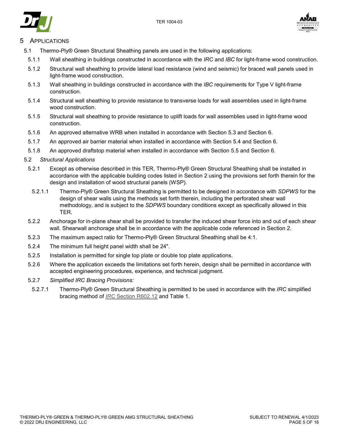





# **APPLICATIONS**

- 5.1 Thermo-Ply® Green Structural Sheathing panels are used in the following applications:
- 5.1.1 Wall sheathing in buildings constructed in accordance with the *IRC* and *IBC* for light-frame wood construction.
- 5.1.2 Structural wall sheathing to provide lateral load resistance (wind and seismic) for braced wall panels used in light-frame wood construction.
- 5.1.3 Wall sheathing in buildings constructed in accordance with the *IBC* requirements for Type V light-frame construction.
- 5.1.4 Structural wall sheathing to provide resistance to transverse loads for wall assemblies used in light-frame wood construction.
- 5.1.5 Structural wall sheathing to provide resistance to uplift loads for wall assemblies used in light-frame wood construction.
- 5.1.6 An approved alternative WRB when installed in accordance with Section [5.3](#page-8-0) and Section [6.](#page-9-0)
- 5.1.7 An approved air barrier material when installed in accordance with Section [5.4](#page-8-1) and Section [6.](#page-9-0)
- 5.1.8 An approved draftstop material when installed in accordance with Section [5.5](#page-9-1) and Section [6.](#page-9-0)
- 5.2 *Structural Applications*
	- 5.2.1 Except as otherwise described in this TER, Thermo-Ply® Green Structural Sheathing shall be installed in accordance with the applicable building codes listed in Section [2](#page-1-6) using the provisions set forth therein for the design and installation of wood structural panels (WSP).
		- 5.2.1.1 Thermo-Ply® Green Structural Sheathing is permitted to be designed in accordance with *SDPWS* for the design of shear walls using the methods set forth therein, including the perforated shear wall methodology, and is subject to the *SDPWS* boundary conditions except as specifically allowed in this TER.
	- 5.2.2 Anchorage for in-plane shear shall be provided to transfer the induced shear force into and out of each shear wall. Shearwall anchorage shall be in accordance with the applicable code referenced in Section [2.](#page-1-6)
	- 5.2.3 The maximum aspect ratio for Thermo-Ply® Green Structural Sheathing shall be 4:1.
	- 5.2.4 The minimum full height panel width shall be 24".
	- 5.2.5 Installation is permitted for single top plate or double top plate applications.
	- 5.2.6 Where the application exceeds the limitations set forth herein, design shall be permitted in accordance with accepted engineering procedures, experience, and technical judgment.
	- 5.2.7 *Simplified IRC Bracing Provisions:*
	- 5.2.7.1 Thermo-Ply® Green Structural Sheathing is permitted to be used in accordance with the *IRC* simplified bracing method of *IRC* [Section R602.12](https://www.drjcertification.org/2021/irc/section-R602.12) and [Table 1.](#page-5-0)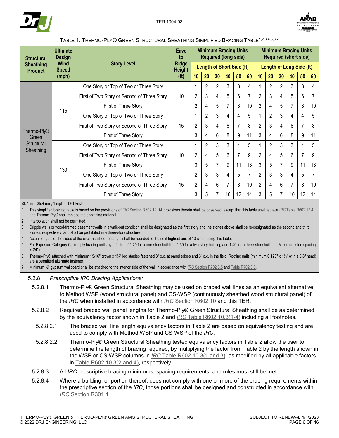



<span id="page-5-0"></span>

| <b>Structural</b>                                                         | <b>Ultimate</b><br><b>Design</b> | <b>Story Level</b>                          |                                    | <b>Minimum Bracing Units</b><br><b>Required (long side)</b> |                |                |                                  |    |    | <b>Minimum Bracing Units</b><br><b>Required (short side)</b> |                |                |    |    |    |
|---------------------------------------------------------------------------|----------------------------------|---------------------------------------------|------------------------------------|-------------------------------------------------------------|----------------|----------------|----------------------------------|----|----|--------------------------------------------------------------|----------------|----------------|----|----|----|
| <b>Sheathing</b><br><b>Product</b>                                        | <b>Wind</b><br><b>Speed</b>      |                                             |                                    |                                                             |                |                | <b>Length of Short Side (ft)</b> |    |    | <b>Length of Long Side (ft)</b>                              |                |                |    |    |    |
|                                                                           | (mph)                            |                                             | <b>Height</b><br>(f <sup>t</sup> ) | 10                                                          | 20             | 30             | 40                               | 50 | 60 | 10                                                           | 20             | 30             | 40 | 50 | 60 |
|                                                                           |                                  | One Story or Top of Two or Three Story      |                                    |                                                             | $\mathfrak{p}$ | $\overline{2}$ | 3                                | 3  | 4  |                                                              | $\mathfrak{p}$ | 2              | 3  | 3  | 4  |
|                                                                           |                                  | First of Two Story or Second of Three Story | 10                                 | $\overline{2}$                                              | 3              | 4              | 5                                | 6  | 7  | $\overline{2}$                                               | 3              | 4              | 5  | 6  | 7  |
| 115<br>Thermo-Ply <sup>®</sup><br>Green<br>Structural<br>Sheathing<br>130 |                                  | First of Three Story                        |                                    | 2                                                           | 4              | 5              | 7                                | 8  | 10 | $\overline{2}$                                               | 4              | 5              | 7  | 8  | 10 |
|                                                                           |                                  | One Story or Top of Two or Three Story      |                                    |                                                             | 2              | 3              | 4                                | 4  | 5  |                                                              | $\overline{2}$ | 3              | 4  | 4  | 5  |
|                                                                           |                                  | First of Two Story or Second of Three Story | 15                                 | $\overline{2}$                                              | 3              | 4              | 6                                | 7  | 8  | $\overline{2}$                                               | 3              | 4              | 6  | 7  | 8  |
|                                                                           |                                  | First of Three Story                        |                                    | 3                                                           | 4              | 6              | 8                                | 9  | 11 | 3                                                            | 4              | 6              | 8  | 9  | 11 |
|                                                                           |                                  | One Story or Top of Two or Three Story      |                                    |                                                             | $\overline{2}$ | 3              | 3                                | 4  | 5  |                                                              | $\mathfrak{p}$ | 3              | 3  | 4  | 5  |
|                                                                           |                                  | First of Two Story or Second of Three Story | 10                                 | $\overline{2}$                                              | 4              | 5              | 6                                |    | 9  | $\overline{2}$                                               | 4              | 5              | 6  |    | 9  |
|                                                                           |                                  | First of Three Story                        |                                    | 3                                                           | 5              | 7              | 9                                | 11 | 13 | 3                                                            | 5              | $\overline{7}$ | 9  | 11 | 13 |
|                                                                           |                                  | One Story or Top of Two or Three Story      |                                    | $\overline{2}$                                              | 3              | 3              | 4                                | 5  | 7  | $\overline{2}$                                               | 3              | 3              | 4  | 5  | 7  |
|                                                                           |                                  | First of Two Story or Second of Three Story | 15                                 | $\overline{2}$                                              | 4              | 6              | 7                                | 8  | 10 | $\overline{2}$                                               | 4              | 6              | 7  | 8  | 10 |
|                                                                           |                                  | First of Three Story                        |                                    | 3                                                           | 5              | 7              | 10                               | 12 | 14 | 3                                                            | 5              | 7              | 10 | 12 | 14 |

#### TABLE 1. THERMO-PLY® GREEN STRUCTURAL SHEATHING SIMPLIFIED BRACING TABLE1,2,3,4,5,6,7

SI: 1 in = 25.4 mm, 1 mph = 1.61 km/h

1. This simplified bracing table is based on the provisions of *IRC* [Section R602.12.](https://www.drjcertification.org/2021/irc/section-R602.12) All provisions therein shall be observed, except that this table shall replace *IRC* [Table R602.12.4,](https://www.drjcertification.org/2021/irc/table-R602.12.4)  and Thermo-Ply® shall replace the sheathing material.

2. Interpolation shall not be permitted.

3. Cripple walls or wood-framed basement walls in a walk-out condition shall be designated as the first story and the stories above shall be re-designated as the second and third stories, respectively, and shall be prohibited in a three-story structure.

4. Actual lengths of the sides of the circumscribed rectangle shall be rounded to the next highest unit of 10 when using this table.

5. For Exposure Category C, multiply bracing units by a factor of 1.20 for a one-story building, 1.30 for a two-story building and 1.40 for a three-story building. Maximum stud spacing is 24" o.c.

6. Thermo-Ply® attached with minimum 15/16" crown x 1¼" leg staples fastened 3" o.c. at panel edges and 3" o.c. in the field. Roofing nails (minimum 0.120" x 1¼" with a 3/8" head) are a permitted alternate fastener.

7. Minimum ½" gypsum wallboard shall be attached to the interior side of the wall in accordance with *IRC* [Section R702.3.5](https://www.drjcertification.org/2021/irc/section-R702.3.5) an[d Table R702.3.5.](https://www.drjcertification.org/2021/irc/table-R702.3.5)

#### 5.2.8 *Prescriptive IRC Bracing Applications:*

- 5.2.8.1 Thermo-Ply® Green Structural Sheathing may be used on braced wall lines as an equivalent alternative to Method WSP (wood structural panel) and CS-WSP (continuously sheathed wood structural panel) of the *IRC* when installed in accordance with *IRC* [Section R602.10](https://www.drjcertification.org/2021/irc/section-R602.10) and this TER.
- 5.2.8.2 Required braced wall panel lengths for Thermo-Ply® Green Structural Sheathing shall be as determined by the equivalency factor shown in [Table 2](#page-6-0) and *IRC* [Table R602.10.3\(1-4\)](https://www.drjcertification.org/2021/irc/section-R602.10.3) including all footnotes.
	- 5.2.8.2.1 The braced wall line length equivalency factors in [Table 2](#page-6-0) are based on equivalency testing and are used to comply with Method WSP and CS-WSP of the *IRC*.
	- 5.2.8.2.2 Thermo-Ply® Green Structural Sheathing tested equivalency factors in [Table 2](#page-6-0) allow the user to determine the length of bracing required, by multiplying the factor from [Table 2](#page-6-0) by the length shown in the WSP or CS-WSP columns in *IRC* [Table R602.10.3\(1 and 3\),](https://www.drjcertification.org/2021/irc/section-R602.10.3) as modified by all applicable factors in [Table R602.10.3\(2 and 4\),](https://www.drjcertification.org/2021/irc/section-R602.10.3(2)) respectively.
- 5.2.8.3 All *IRC* prescriptive bracing minimums, spacing requirements, and rules must still be met.
- 5.2.8.4 Where a building, or portion thereof, does not comply with one or more of the bracing requirements within the prescriptive section of the *IRC*, those portions shall be designed and constructed in accordance with *IRC* [Section R301.1.](https://www.drjcertification.org/2021/irc/section-R301.1)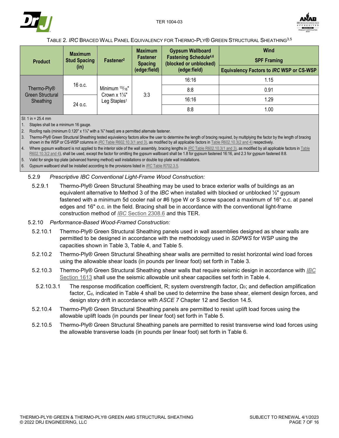



# TABLE 2. *IRC* BRACED WALL PANEL EQUIVALENCY FOR THERMO-PLY® GREEN STRUCTURAL SHEATHING3,5

<span id="page-6-0"></span>

| <b>Product</b>                                           | <b>Maximum</b><br><b>Stud Spacing</b><br>(in) | Fastener <sup>2</sup>                                | <b>Maximum</b><br><b>Fastener</b><br><b>Spacing</b><br>(edge:field) | <b>Gypsum Wallboard</b><br><b>Fastening Schedule4,6</b><br>(blocked or unblocked)<br>(edge:field) | Wind<br><b>SPF Framing</b><br><b>Equivalency Factors to IRC WSP or CS-WSP</b> |      |
|----------------------------------------------------------|-----------------------------------------------|------------------------------------------------------|---------------------------------------------------------------------|---------------------------------------------------------------------------------------------------|-------------------------------------------------------------------------------|------|
| Thermo-Ply <sup>®</sup><br>Green Structural<br>Sheathing |                                               |                                                      |                                                                     | 16:16                                                                                             | 1.15                                                                          |      |
|                                                          | 16 o.c.                                       | Minimum $15/16"$                                     | 3:3                                                                 |                                                                                                   | 8:8                                                                           | 0.91 |
|                                                          |                                               | Crown $x 1\frac{1}{4}$ "<br>Leg Staples <sup>1</sup> |                                                                     |                                                                                                   | 16:16                                                                         | 1.29 |
|                                                          | 24 o.c.                                       |                                                      |                                                                     | 8:8                                                                                               | 1.00                                                                          |      |

SI: 1 in = 25.4 mm

1. Staples shall be a minimum 16 gauge.

2. Roofing nails (minimum 0.120" x 1¼" with a <sup>3</sup>%" head) are a permitted alternate fastener.

3. Thermo-Ply® Green Structural Sheathing tested equivalency factors allow the user to determine the length of bracing required, by multiplying the factor by the length of bracing shown in the WSP or CS-WSP columns in *IRC* [Table R602.10.3\(1 and 3\),](https://www.drjcertification.org/2021/irc/section-R602.10.3) as modified by all applicable factors i[n Table R602.10.3\(2 and 4\)](https://www.drjcertification.org/2021/irc/section-R602.10.3(2)) respectively.

Where gypsum wallboard is not applied to the interior side of the wall assembly, bracing lengths in *IRC* [Table R602.10.3\(1 and 3\),](https://www.drjcertification.org/2021/irc/section-R602.10.3) as modified by all applicable factors in *Table* [R602.10.3\(2 and 4\),](https://www.drjcertification.org/2021/irc/section-R602.10.3(2)) shall be used, except the factor for omitting the gypsum wallboard shall be 1.8 for gypsum fastened 16:16, and 2.3 for gypsum fastened 8:8.

5. Valid for single top plate (advanced framing method) wall installations or double top plate wall installations.

6. Gypsum wallboard shall be installed according to the provisions listed in *IRC* [Table R702.3.5.](https://www.drjcertification.org/2021/irc/table-R702.3.5)

#### 5.2.9 *Prescriptive IBC Conventional Light-Frame Wood Construction:*

5.2.9.1 Thermo-Ply® Green Structural Sheathing may be used to brace exterior walls of buildings as an equivalent alternative to Method 3 of the *IBC* when installed with blocked or unblocked ½" gypsum fastened with a minimum 5d cooler nail or #6 type W or S screw spaced a maximum of 16" o.c. at panel edges and 16" o.c. in the field. Bracing shall be in accordance with the conventional light-frame construction method of *IBC* [Section 2308.6](https://www.drjcertification.org/2021/ibc/section-2308.6) and this TER.

#### 5.2.10 *Performance-Based Wood-Framed Construction:*

- 5.2.10.1 Thermo-Ply® Green Structural Sheathing panels used in wall assemblies designed as shear walls are permitted to be designed in accordance with the methodology used in *SDPWS* for WSP using the capacities shown in [Table 3,](#page-7-1) [Table 4,](#page-7-0) and [Table 5.](#page-8-2)
- 5.2.10.2 Thermo-Ply® Green Structural Sheathing shear walls are permitted to resist horizontal wind load forces using the allowable shear loads (in pounds per linear foot) set forth in [Table 3.](#page-7-1)
- 5.2.10.3 Thermo-Ply® Green Structural Sheathing shear walls that require seismic design in accordance with *[IBC](https://www.drjcertification.org/2021/ibc/section-1613)* [Section 1613](https://www.drjcertification.org/2021/ibc/section-1613) shall use the seismic allowable unit shear capacities set forth in [Table 4.](#page-7-0)
	- 5.2.10.3.1 The response modification coefficient, R; system overstrength factor,  $\Omega_0$ ; and deflection amplification factor, C<sub>d</sub>, indicated in [Table 4](#page-7-0) shall be used to determine the base shear, element design forces, and design story drift in accordance with *ASCE 7* Chapter 12 and Section 14.5.
- 5.2.10.4 Thermo-Ply® Green Structural Sheathing panels are permitted to resist uplift load forces using the allowable uplift loads (in pounds per linear foot) set forth in [Table 5.](#page-8-2)
- 5.2.10.5 Thermo-Ply® Green Structural Sheathing panels are permitted to resist transverse wind load forces using the allowable transverse loads (in pounds per linear foot) set forth in [Table 6.](#page-8-3)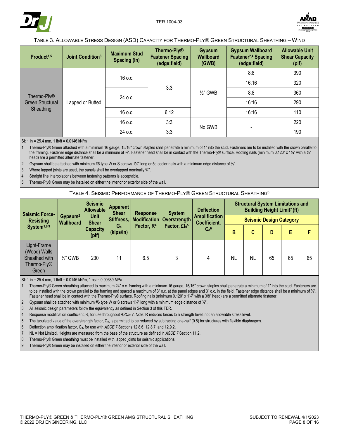



#### TABLE 3. ALLOWABLE STRESS DESIGN (ASD) CAPACITY FOR THERMO-PLY® GREEN STRUCTURAL SHEATHING – WIND

<span id="page-7-1"></span>

| Product <sup>1,5</sup>                                   | <b>Joint Condition</b> <sup>3</sup> | <b>Maximum Stud</b><br>Spacing (in) | Thermo-Ply <sup>®</sup><br><b>Fastener Spacing</b><br>(edge:field) | <b>Gypsum</b><br><b>Wallboard</b><br>(GWB) | <b>Gypsum Wallboard</b><br>Fastener <sup>2,4</sup> Spacing<br>(edge:field) | <b>Allowable Unit</b><br><b>Shear Capacity</b><br>(plf) |
|----------------------------------------------------------|-------------------------------------|-------------------------------------|--------------------------------------------------------------------|--------------------------------------------|----------------------------------------------------------------------------|---------------------------------------------------------|
|                                                          |                                     | $16$ o.c.                           |                                                                    |                                            | 8:8                                                                        | 390                                                     |
| Thermo-Ply <sup>®</sup><br>Green Structural<br>Sheathing | Lapped or Butted                    |                                     | 3:3                                                                | $\frac{1}{2}$ " GWB                        | 16:16                                                                      | 320                                                     |
|                                                          |                                     | 24 o.c.                             |                                                                    |                                            | 8:8                                                                        | 360                                                     |
|                                                          |                                     |                                     |                                                                    |                                            | 16:16                                                                      | 290                                                     |
|                                                          |                                     | 16 o.c.                             | 6:12                                                               |                                            | 16:16                                                                      | 110                                                     |
|                                                          |                                     | 16 o.c.                             | 3:3                                                                | No GWB                                     |                                                                            | 220                                                     |
|                                                          |                                     | 24 o.c.                             | 3:3                                                                |                                            |                                                                            | 190                                                     |

SI: 1 in = 25.4 mm, 1 lb/ft = 0.0146 kN/m

1. Thermo-Ply® Green attached with a minimum 16 gauge, 15/16" crown staples shall penetrate a minimum of 1" into the stud. Fasteners are to be installed with the crown parallel to the framing. Fastener edge distance shall be a minimum of ¾". Fastener head shall be in contact with the Thermo-Ply® surface. Roofing nails (minimum 0.120" x 1¼" with a ¾" head) are a permitted alternate fastener.

2. Gypsum shall be attached with minimum #6 type W or S screws 1¼" long or 5d cooler nails with a minimum edge distance of ⅜".

3. Where lapped joints are used, the panels shall be overlapped nominally  $\frac{3}{4}$ ".

4. Straight line interpolations between fastening patterns is acceptable.

<span id="page-7-0"></span>5. Thermo-Ply® Green may be installed on either the interior or exterior side of the wall.

#### TABLE 4. SEISMIC PERFORMANCE OF THERMO-PLY® GREEN STRUCTURAL SHEATHING3

| <b>Seismic Force-</b>                                                |                                         | <b>Seismic</b><br>Allowable | <b>Apparent</b><br><b>Shear</b> | <b>Response</b>        | <b>System</b>                   | <b>Deflection</b>  | <b>Structural System Limitations and</b><br>Building Height Limit <sup>7</sup> (ft) |    |                                    |                                      |    |                                |  |  |  |  |
|----------------------------------------------------------------------|-----------------------------------------|-----------------------------|---------------------------------|------------------------|---------------------------------|--------------------|-------------------------------------------------------------------------------------|----|------------------------------------|--------------------------------------|----|--------------------------------|--|--|--|--|
| <b>Resisting</b>                                                     | Gypsum <sup>2</sup><br><b>Wallboard</b> | <b>Unit</b><br><b>Shear</b> |                                 | Stiffness,             |                                 |                    |                                                                                     |    | <b>Modification   Overstrength</b> | <b>Amplification</b><br>Coefficient, |    | <b>Seismic Design Category</b> |  |  |  |  |
| System <sup>1,8,9</sup>                                              |                                         | <b>Capacity</b><br>(plf)    | G <sub>a</sub><br>(kips/in)     | Factor, R <sup>4</sup> | Factor, $\Omega_0$ <sup>5</sup> | $C_d$ <sup>6</sup> | B                                                                                   | C  | D                                  | E                                    |    |                                |  |  |  |  |
| Light-Frame<br>(Wood) Walls<br>Sheathed with<br>Thermo-Ply®<br>Green | $\frac{1}{2}$ GWB                       | 230                         | 11                              | 6.5                    | 3                               |                    | NL                                                                                  | NL | 65                                 | 65                                   | 65 |                                |  |  |  |  |

SI: 1 in = 25.4 mm, 1 lb/ft = 0.0146 kN/m, 1 psi = 0.00689 MPa

1. Thermo-Ply® Green sheathing attached to maximum 24" o.c. framing with a minimum 16 gauge, 15/16" crown staples shall penetrate a minimum of 1" into the stud. Fasteners are to be installed with the crown parallel to the framing and spaced a maximum of 3" o.c. at the panel edges and 3" o.c. in the field. Fastener edge distance shall be a minimum of  $\frac{3}{8}$ ". Fastener head shall be in contact with the Thermo-Ply® surface. Roofing nails (minimum 0.120" x 1¼" with a 3/8" head) are a permitted alternate fastener.

2. Gypsum shall be attached with minimum #6 type W or S screws 1¼" long with a minimum edge distance of <sup>36"</sup>.

3. All seismic design parameters follow the equivalency as defined in Sectio[n 3](#page-2-0) of this TER.

4. Response modification coefficient, R, for use throughout *ASCE 7*. Note: R reduces forces to a strength level, not an allowable stress level.

5. The tabulated value of the overstrength factor, Ω<sub>0</sub>, is permitted to be reduced by subtracting one-half (0.5) for structures with flexible diaphragms.

6. Deflection amplification factor, C<sub>d</sub>, for use with *ASCE 7* Sections 12.8.6, 12.8.7, and 12.9.2.

7. NL = Not Limited. Heights are measured from the base of the structure as defined in *ASCE 7* Section 11.2.

8. Thermo-Ply® Green sheathing must be installed with lapped joints for seismic applications.

9. Thermo-Ply® Green may be installed on either the interior or exterior side of the wall.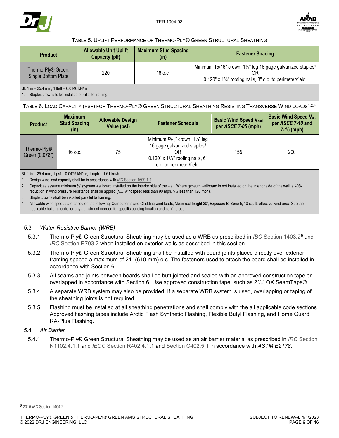



#### TABLE 5. UPLIFT PERFORMANCE OF THERMO-PLY® GREEN STRUCTURAL SHEATHING

<span id="page-8-2"></span>

| <b>Product</b>                                        | <b>Allowable Unit Uplift</b><br>Capacity (plf) | <b>Maximum Stud Spacing</b><br>(in) | <b>Fastener Spacing</b>                                                                                                                               |
|-------------------------------------------------------|------------------------------------------------|-------------------------------------|-------------------------------------------------------------------------------------------------------------------------------------------------------|
| Thermo-Ply <sup>®</sup> Green:<br>Single Bottom Plate | 220                                            | 16 o.c.                             | Minimum 15/16" crown, 1¼" leg 16 gage galvanized staples <sup>1</sup><br>ΟR<br>$0.120"$ x $1\frac{1}{4}$ " roofing nails, 3" o.c. to perimeter/field. |
| SI: 1 in = 25.4 mm, 1 lb/ft = 0.0146 kN/m             |                                                |                                     |                                                                                                                                                       |

1. Staples crowns to be installed parallel to framing.

<span id="page-8-3"></span>TABLE 6. LOAD CAPACITY (PSF) FOR THERMO-PLY® GREEN STRUCTURAL SHEATHING RESISTING TRANSVERSE WIND LOADS1,2,4

| <b>Product</b>                            | <b>Maximum</b><br><b>Stud Spacing</b><br>(in) | <b>Allowable Design</b><br>Value (psf) | <b>Fastener Schedule</b>                                                                                                                                          | <b>Basic Wind Speed Vasd</b><br>per ASCE 7-05 (mph) | <b>Basic Wind Speed Vult</b><br>per ASCE 7-10 and<br>$7-16$ (mph) |
|-------------------------------------------|-----------------------------------------------|----------------------------------------|-------------------------------------------------------------------------------------------------------------------------------------------------------------------|-----------------------------------------------------|-------------------------------------------------------------------|
| Thermo-Ply <sup>®</sup><br>Green (0.078") | 16 o.c.                                       | 75                                     | Minimum $15/16$ " crown, $1\frac{1}{4}$ " leg<br>16 gage galvanized staples <sup>3</sup><br>$0.120" \times 1^{1/4"$ roofing nails, 6"<br>o.c. to perimeter/field. | 155                                                 | 200                                                               |

SI: 1 in = 25.4 mm, 1 psf = 0.0479 kN/m<sup>2</sup>, 1 mph = 1.61 km/h

1. Design wind load capacity shall be in accordance with *IBC* [Section 1609.1.1.](https://www.drjcertification.org/2021/ibc/section-1609.1.1)

2. Capacities assume minimum 1/2" gypsum wallboard installed on the interior side of the wall. Where gypsum wallboard in not installed on the interior side of the wall, a 40% reduction in wind pressure resistance shall be applied (Vasd windspeed less than 90 mph, Vult less than 120 mph).

3. Staple crowns shall be installed parallel to framing.

4. Allowable wind speeds are based on the following: Components and Cladding wind loads, Mean roof height 30', Exposure B, Zone 5, 10 sq. ft. effective wind area. See the applicable building code for any adjustment needed for specific building location and configuration.

### <span id="page-8-0"></span>5.3 *Water-Resistive Barrier (WRB)*

- 5.3.1 Thermo-Ply® Green Structural Sheathing may be used as a WRB as prescribed in *IBC* [Section 1403.2](https://www.drjcertification.org/2021/ibc/section-1403.2)[9](#page-8-4) and *IRC* [Section R703.2](https://www.drjcertification.org/2021/irc/section-R703.2) when installed on exterior walls as described in this section.
- 5.3.2 Thermo-Ply® Green Structural Sheathing shall be installed with board joints placed directly over exterior framing spaced a maximum of 24" (610 mm) o.c. The fasteners used to attach the board shall be installed in accordance with Section [6.](#page-9-0)
- <span id="page-8-5"></span>5.3.3 All seams and joints between boards shall be butt jointed and sealed with an approved construction tape or overlapped in accordance with Section [6.](#page-9-0) Use approved construction tape, such as  $27/8$ " OX SeamTape®.
- 5.3.4 A separate WRB system may also be provided. If a separate WRB system is used, overlapping or taping of the sheathing joints is not required.
- 5.3.5 Flashing must be installed at all sheathing penetrations and shall comply with the all applicable code sections. Approved flashing tapes include Arctic Flash Synthetic Flashing, Flexible Butyl Flashing, and Home Guard RA-Plus Flashing.
- <span id="page-8-1"></span>5.4 *Air Barrier*
	- 5.4.1 Thermo-Ply® Green Structural Sheathing may be used as an air barrier material as prescribed in *IRC* [Section](https://www.drjcertification.org/2021/irc/section-N1102.4.1.1) [N1102.4.1.1](https://www.drjcertification.org/2021/irc/section-N1102.4.1.1) and *IECC* [Section R402.4.1.1](https://www.drjcertification.org/2021/iecc/section-R402.4.1.1) and [Section C402.5.1](https://www.drjcertification.org/2021/iecc/section-C402.5.1) in accordance with *ASTM E2178*.

<span id="page-8-4"></span><sup>9</sup> 2015 *IBC* [Section 1404.2](https://www.drjcertification.org/2015/ibc/section-1404.2)

j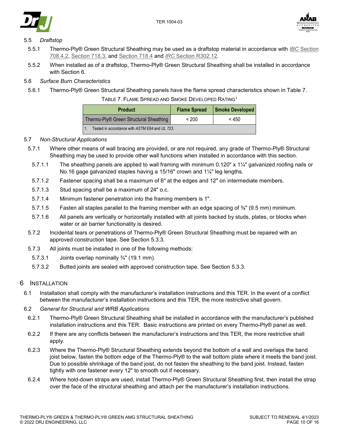





## <span id="page-9-1"></span>5.5 *Draftstop*

- 5.5.1 Thermo-Ply® Green Structural Sheathing may be used as a draftstop material in accordance with *IBC* [Section](https://www.drjcertification.org/2021/ibc/section-708.4.2)  [708.4.2,](https://www.drjcertification.org/2021/ibc/section-708.4.2) [Section 718.3,](https://www.drjcertification.org/2021/ibc/section-718.3) and [Section 718.4](https://www.drjcertification.org/2021/ibc/section-718.4) and *IRC* [Section R302.12.](https://www.drjcertification.org/2021/irc/section-R302.12)
- 5.5.2 When installed as of a draftstop, Thermo-Ply® Green Structural Sheathing shall be installed in accordance with Section [6](#page-9-0)*.*

## 5.6 *Surface Burn Characteristics*

<span id="page-9-2"></span>5.6.1 Thermo-Ply® Green Structural Sheathing panels have the flame spread characteristics shown in [Table 7.](#page-9-2)

| TABLE 7. FLAME SPREAD AND SMOKE DEVELOPED RATING <sup>1</sup> |  |
|---------------------------------------------------------------|--|
|---------------------------------------------------------------|--|

| <b>Product</b>                                     | <b>Flame Spread</b> | <b>Smoke Developed</b> |  |  |  |  |
|----------------------------------------------------|---------------------|------------------------|--|--|--|--|
| Thermo-Ply <sup>®</sup> Green Structural Sheathing | $~<$ 200            | < 450                  |  |  |  |  |
| Tested in accordance with ASTM E84 and UL 723.     |                     |                        |  |  |  |  |

### 5.7 *Non-Structural Applications*

- 5.7.1 Where other means of wall bracing are provided, or are not required, any grade of Thermo-Ply® Structural Sheathing may be used to provide other wall functions when installed in accordance with this section.
	- 5.7.1.1 The sheathing panels are applied to wall framing with minimum 0.120" x 1¼" galvanized roofing nails or No.16 gage galvanized staples having a 15/16" crown and 1¼" leg lengths.
	- 5.7.1.2 Fastener spacing shall be a maximum of 6" at the edges and 12" on intermediate members.
	- 5.7.1.3 Stud spacing shall be a maximum of 24" o.c.
	- 5.7.1.4 Minimum fastener penetration into the framing members is 1".
	- 5.7.1.5 Fasten all staples parallel to the framing member with an edge spacing of ⅜" (9.5 mm) minimum.
	- 5.7.1.6 All panels are vertically or horizontally installed with all joints backed by studs, plates, or blocks when water or air barrier functionality is desired.
- 5.7.2 Incidental tears or penetrations of Thermo-Ply® Green Structural Sheathing must be repaired with an approved construction tape. See Section [5.3.3.](#page-8-5)
- 5.7.3 All joints must be installed in one of the following methods:
	- 5.7.3.1 Joints overlap nominally ¾" (19.1 mm).
- 5.7.3.2 Butted joints are sealed with approved construction tape. See Section [5.3.3.](#page-8-5)

### <span id="page-9-0"></span>6 INSTALLATION

- 6.1 Installation shall comply with the manufacturer's installation instructions and this TER. In the event of a conflict between the manufacturer's installation instructions and this TER, the more restrictive shall govern.
- 6.2 *General for Structural and WRB Applications*
	- 6.2.1 Thermo-Ply® Green Structural Sheathing shall be installed in accordance with the manufacturer's published installation instructions and this TER. Basic instructions are printed on every Thermo-Ply® panel as well.
	- 6.2.2 If there are any conflicts between the manufacturer's instructions and this TER, the more restrictive shall apply.
- 6.2.3 Where the Thermo-Ply® Structural Sheathing extends beyond the bottom of a wall and overlaps the band joist below, fasten the bottom edge of the Thermo-Ply® to the wall bottom plate where it meets the band joist. Due to possible shrinkage of the band joist, do not fasten the sheathing to the band joist. Instead, fasten tightly with one fastener every 12" to smooth out if necessary.
- 6.2.4 Where hold-down straps are used, install Thermo-Ply® Green Structural Sheathing first, then install the strap over the face of the structural sheathing and attach per the manufacturer's installation instructions.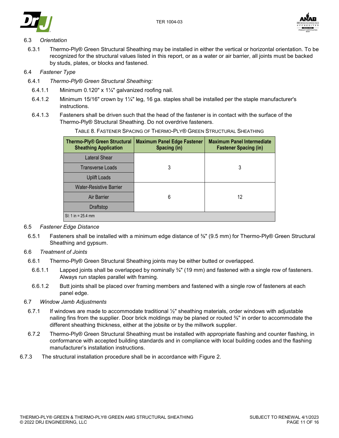



# 6.3 *Orientation*

6.3.1 Thermo-Ply® Green Structural Sheathing may be installed in either the vertical or horizontal orientation. To be recognized for the structural values listed in this report, or as a water or air barrier, all joints must be backed by studs, plates, or blocks and fastened.

## 6.4 *Fastener Type*

- 6.4.1 *Thermo-Ply® Green Structural Sheathing:*
	- 6.4.1.1 Minimum 0.120" x  $1\frac{1}{4}$ " galvanized roofing nail.
	- 6.4.1.2 Minimum 15/16" crown by 1¼" leg, 16 ga. staples shall be installed per the staple manufacturer's instructions.
	- 6.4.1.3 Fasteners shall be driven such that the head of the fastener is in contact with the surface of the Thermo-Ply® Structural Sheathing. Do not overdrive fasteners.

| Thermo-Ply <sup>®</sup> Green Structural<br><b>Sheathing Application</b> | <b>Maximum Panel Edge Fastener</b><br>Spacing (in) | <b>Maximum Panel Intermediate</b><br><b>Fastener Spacing (in)</b> |
|--------------------------------------------------------------------------|----------------------------------------------------|-------------------------------------------------------------------|
| Lateral Shear                                                            |                                                    |                                                                   |
| <b>Transverse Loads</b>                                                  | 3                                                  | 3                                                                 |
| <b>Uplift Loads</b>                                                      |                                                    |                                                                   |
| <b>Water-Resistive Barrier</b>                                           |                                                    |                                                                   |
| Air Barrier                                                              | 6                                                  | 12                                                                |
| Draftstop                                                                |                                                    |                                                                   |
| $SI: 1 in = 25.4 mm$                                                     |                                                    |                                                                   |

TABLE 8. FASTENER SPACING OF THERMO-PLY® GREEN STRUCTURAL SHEATHING

## 6.5 *Fastener Edge Distance*

6.5.1 Fasteners shall be installed with a minimum edge distance of ⅜" (9.5 mm) for Thermo-Ply® Green Structural Sheathing and gypsum.

### 6.6 *Treatment of Joints*

- 6.6.1 Thermo-Ply® Green Structural Sheathing joints may be either butted or overlapped.
- 6.6.1.1 Lapped joints shall be overlapped by nominally ¾" (19 mm) and fastened with a single row of fasteners. Always run staples parallel with framing.
- 6.6.1.2 Butt joints shall be placed over framing members and fastened with a single row of fasteners at each panel edge.

### 6.7 *Window Jamb Adjustments*

- 6.7.1 If windows are made to accommodate traditional ½" sheathing materials, order windows with adjustable nailing fins from the supplier. Door brick moldings may be planed or routed ⅜" in order to accommodate the different sheathing thickness, either at the jobsite or by the millwork supplier.
- 6.7.2 Thermo-Ply® Green Structural Sheathing must be installed with appropriate flashing and counter flashing, in conformance with accepted building standards and in compliance with local building codes and the flashing manufacturer's installation instructions.
- 6.7.3 The structural installation procedure shall be in accordance with [Figure 2.](#page-11-0)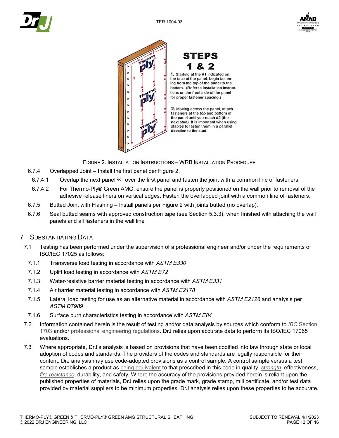







**STEPS** & 2

1. Starting at the #1 indicated on the face of the panel, begin fastening from the top of the panel to the bottom. (Refer to installation instructions on the front side of the panel for proper fastener spacing.)

2. Moving across the panel, attach fasteners at the top and bottom of the panel until you reach #2 (the next stud). It is important when using staples to fasten them in a parallel direction to the stud.

FIGURE 2. INSTALLATION INSTRUCTIONS – WRB INSTALLATION PROCEDURE

- <span id="page-11-0"></span>6.7.4 Overlapped Joint – Install the first panel per [Figure 2.](#page-11-0)
- 6.7.4.1 Overlap the next panel ¾" over the first panel and fasten the joint with a common line of fasteners.
- 6.7.4.2 For Thermo-Ply® Green AMG, ensure the panel is properly positioned on the wall prior to removal of the adhesive release liners on vertical edges. Fasten the overlapped joint with a common line of fasteners.
- 6.7.5 Butted Joint with Flashing Install panels per [Figure 2](#page-11-0) with joints butted (no overlap).
- 6.7.6 Seal butted seams with approved construction tape (see Section [5.3.3\)](#page-8-5), when finished with attaching the wall panels and all fasteners in the wall line

### 7 SUBSTANTIATING DATA

- 7.1 Testing has been performed under the supervision of a professional engineer and/or under the requirements of ISO/IEC 17025 as follows:
	- 7.1.1 Transverse load testing in accordance with *ASTM E330*
	- 7.1.2 Uplift load testing in accordance with *ASTM E72*
	- 7.1.3 Water-resistive barrier material testing in accordance with *ASTM E331*
	- 7.1.4 Air barrier material testing in accordance with *ASTM E2178*
	- 7.1.5 Lateral load testing for use as an alternative material in accordance with *ASTM E2126* and analysis per *ASTM D7989*
	- 7.1.6 Surface burn characteristics testing in accordance with *ASTM E84*
- 7.2 Information contained herein is the result of testing and/or data analysis by sources which conform to *IBC* [Section](https://www.drjcertification.org/2021/ibc/section-1703)  [1703](https://www.drjcertification.org/2021/ibc/section-1703) and/or [professional engineering regulations.](https://www.drjcertification.org/nspe-licensing-boards) DrJ relies upon accurate data to perform its ISO/IEC 17065 evaluations.
- 7.3 Where appropriate, DrJ's analysis is based on provisions that have been codified into law through state or local adoption of codes and standards. The providers of the codes and standards are legally responsible for their content. DrJ analysis may use code-adopted provisions as a control sample. A control sample versus a test sample establishes a product as [being equivalent](https://www.drjcertification.org/2021/ibc/section-104.11) to that prescribed in this code in quality, *[strength](https://www.drjcertification.org/2021/ibc/chapter-2/strength)*, effectiveness, *[fire resistance](https://www.drjcertification.org/2021/ibc/chapter-2/fire-resistance)*, durability, and safety. Where the accuracy of the provisions provided herein is reliant upon the published properties of materials, DrJ relies upon the grade mark, grade stamp, mill certificate, and/or test data provided by material suppliers to be minimum properties. DrJ analysis relies upon these properties to be accurate.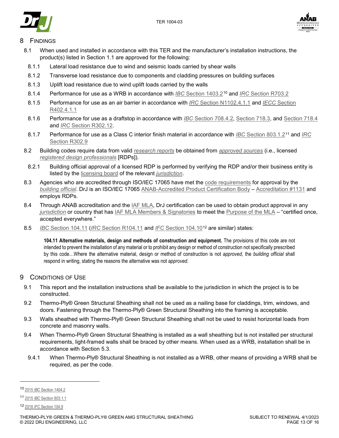



# **FINDINGS**

- 8.1 When used and installed in accordance with this TER and the manufacturer's installation instructions, the product(s) listed in Section [1.1](#page-1-7) are approved for the following:
- 8.1.1 Lateral load resistance due to wind and seismic loads carried by shear walls
- 8.1.2 Transverse load resistance due to components and cladding pressures on building surfaces
- 8.1.3 Uplift load resistance due to wind uplift loads carried by the walls
- 8.1.4 Performance for use as a WRB in accordance with *IBC* [Section 1403.2](https://www.drjcertification.org/2021/ibc/section-1403.2)[10](#page-12-0) and *IRC* [Section R703.2](https://www.drjcertification.org/2021/irc/section-R703.2)
- 8.1.5 Performance for use as an air barrier in accordance with *IRC* [Section N1102.4.1.1](https://www.drjcertification.org/2021/irc/section-N1102.4.1.1) and *IECC* [Section](https://www.drjcertification.org/2021/iecc/section-R402.4.1.1)  [R402.4.1.1](https://www.drjcertification.org/2021/iecc/section-R402.4.1.1)
- 8.1.6 Performance for use as a draftstop in accordance with *IBC* [Section 708.4.2,](https://www.drjcertification.org/2021/ibc/section-708.4.2) [Section 718.3,](https://www.drjcertification.org/2021/ibc/section-718.3) and [Section 718.4](https://www.drjcertification.org/2021/ibc/section-718.4) and *IRC* [Section R302.12.](https://www.drjcertification.org/2021/irc/section-R302.12)
- 8.1.7 Performance for use as a Class C interior finish material in accordance with *IBC* [Section 803.1.2](https://www.drjcertification.org/2021/ibc/section-803.1.2)[11](#page-12-1) and *[IRC](https://www.drjcertification.org/2021/irc/section-R302.9)* [Section R302.9](https://www.drjcertification.org/2021/irc/section-R302.9)
- 8.2 Building codes require data from valid *[research reports](https://www.drjcertification.org/2021/ibc/section-1703.4.2/research-report)* be obtained from *[approved sources](https://www.drjcertification.org/2021/ibc/chapter-2/approved-source)* (i.e., licensed *[registered design professionals](https://www.drjcertification.org/2021/ibc/chapter-2/registered-design-professional)* [RDPs]).
- 8.2.1 Building official approval of a licensed RDP is performed by verifying the RDP and/or their business entity is listed by the [licensing board](https://www.drjcertification.org/nspe-licensing-boards) of the relevant *[jurisdiction](https://www.drjcertification.org/2021/ibc/chapter-2/jurisdiction)*.
- 8.3 Agencies who are accredited through ISO/IEC 17065 have met the [code requirements](https://www.drjcertification.org/2021/ibc/section-1703.1) for approval by the *[building official](https://www.drjcertification.org/2021/ibc/chapter-2/building-official)*. DrJ is an ISO/IEC 17065 [ANAB-Accredited Product Certification Body](https://www.drjcertification.org/anab-certification-bodies) – [Accreditation #1131](https://www.drjcertification.org/anab-accreditation-1131) and employs RDPs.
- 8.4 Through ANAB accreditation and the [IAF MLA,](https://www.drjcertification.org/iaf-mla-about) DrJ certification can be used to obtain product approval in any *[jurisdiction](https://www.drjcertification.org/2021/ibc/chapter-2/jurisdiction)* or country that has [IAF MLA Members & Signatories](https://www.drjcertification.org/iaf-mla-signatories) to meet the [Purpose of the MLA](https://www.drjcertification.org/mla-purpose) – "certified once, accepted everywhere."
- 8.5 *IBC* [Section 104.11](https://www.drjcertification.org/2021/ibc/section-104.11) (*IRC* [Section R104.11](https://www.drjcertification.org/2021/irc/section-R104.11) and *IFC* [Section 104.10](https://www.drjcertification.org/2021/ifc/section-104.10)[12](#page-12-2) are similar) states:

**104.11 Alternative materials, design and methods of construction and equipment.** The provisions of this code are not intended to prevent the installation of any material or to prohibit any design or method of construction not specifically prescribed by this code…Where the alternative material, design or method of construction is not *approved*, the *building official* shall respond in writing, stating the reasons the alternative was not *approved*.

### 9 CONDITIONS OF USE

- 9.1 This report and the installation instructions shall be available to the jurisdiction in which the project is to be constructed.
- 9.2 Thermo-Ply® Green Structural Sheathing shall not be used as a nailing base for claddings, trim, windows, and doors. Fastening through the Thermo-Ply® Green Structural Sheathing into the framing is acceptable.
- 9.3 Walls sheathed with Thermo-Ply® Green Structural Sheathing shall not be used to resist horizontal loads from concrete and masonry walls.
- 9.4 When Thermo-Ply® Green Structural Sheathing is installed as a wall sheathing but is not installed per structural requirements, light-framed walls shall be braced by other means. When used as a WRB, installation shall be in accordance with Section [5.3.](#page-8-0)
- 9.4.1 When Thermo-Ply® Structural Sheathing is not installed as a WRB, other means of providing a WRB shall be required, as per the code.

-

<span id="page-12-0"></span><sup>10</sup> 2015 *IBC* [Section 1404.2](https://www.drjcertification.org/2015/ibc/section-1404.2)

<span id="page-12-1"></span><sup>11</sup> 2015 *IBC* [Section 803.1.1](https://www.drjcertification.org/2015/ibc/section-803.1.1)

<span id="page-12-2"></span><sup>12</sup> 2018 *IFC* [Section 104.9](https://www.drjcertification.org/2018/ifc/section-104.9)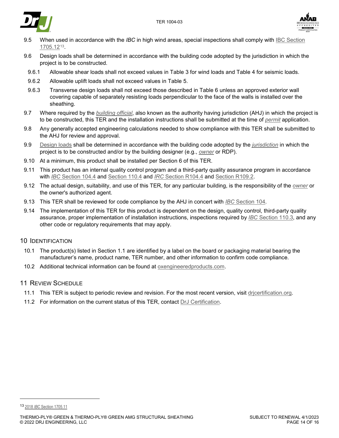



- 9.5 When used in accordance with the *IBC* in high wind areas, special inspections shall comply with [IBC Section](https://www.drjcertification.org/2021/ibc/section-1705.12)  [1705.12](https://www.drjcertification.org/2021/ibc/section-1705.12)[13.](#page-13-0)
- 9.6 Design loads shall be determined in accordance with the building code adopted by the jurisdiction in which the project is to be constructed.
- 9.6.1 Allowable shear loads shall not exceed values in [Table 3](#page-7-1) for wind loads and [Table 4](#page-7-0) for seismic loads.
- 9.6.2 Allowable uplift loads shall not exceed values in [Table 5.](#page-8-2)
- 9.6.3 Transverse design loads shall not exceed those described in [Table 6](#page-8-3) unless an approved exterior wall covering capable of separately resisting loads perpendicular to the face of the walls is installed over the sheathing.
- 9.7 Where required by the *[building official](https://www.drjcertification.org/2021/ibc/chapter-2/building-official)*, also known as the authority having jurisdiction (AHJ) in which the project is to be constructed, this TER and the installation instructions shall be submitted at the time of *[permit](https://www.drjcertification.org/2021/ibc/chapter-2/permit)* application.
- 9.8 Any generally accepted engineering calculations needed to show compliance with this TER shall be submitted to the AHJ for review and approval.
- 9.9 [Design loads](https://www.drjcertification.org/2021/ibc/section-1603.1) shall be determined in accordance with the building code adopted by the *[jurisdiction](https://www.drjcertification.org/2021/ibc/chapter-2/jurisdiction)* in which the project is to be constructed and/or by the building designer (e.g., *[owner](https://www.drjcertification.org/2021/ibc/chapter-2/owner)* or RDP).
- 9.10 At a minimum, this product shall be installed per Section [6](#page-9-0) of this TER.
- 9.11 This product has an internal quality control program and a third-party quality assurance program in accordance with *IBC* [Section 104.4](https://www.drjcertification.org/2021/ibc/section-104.4) and [Section 110.4](https://www.drjcertification.org/2021/ibc/section-110.4) and *IRC* [Section R104.4](https://www.drjcertification.org/2021/irc/section-R104.4) and [Section R109.2.](https://www.drjcertification.org/2021/irc/section-R109.2)
- 9.12 The actual design, suitability, and use of this TER, for any particular building, is the responsibility of the *[owner](https://www.drjcertification.org/2021/ibc/chapter-2/owner)* or the owner's authorized agent.
- 9.13 This TER shall be reviewed for code compliance by the AHJ in concert with *IBC* [Section 104.](https://www.drjcertification.org/2021/ibc/section-104)
- 9.14 The implementation of this TER for this product is dependent on the design, quality control, third-party quality assurance, proper implementation of installation instructions, inspections required by *IBC* [Section 110.3,](https://www.drjcertification.org/2021/ibc/section-110.3) and any other code or regulatory requirements that may apply.

# 10 IDENTIFICATION

- 10.1 The product(s) listed in Section [1.1](#page-1-7) are identified by a label on the board or packaging material bearing the manufacturer's name, product name, TER number, and other information to confirm code compliance.
- 10.2 Additional technical information can be found at [oxengineeredproducts.com.](https://www.oxengineeredproducts.com/product/thermo-ply/)

## 11 REVIEW SCHEDULE

- 11.1 This TER is subject to periodic review and revision. For the most recent version, visit [drjcertification.org.](https://www.drjcertification.org/)
- 11.2 For information on the current status of this TER, contact [DrJ Certification.](http://www.drjcertification.org/contact-drj)

j

<span id="page-13-0"></span><sup>13</sup> 2018 *IBC* [Section 1705.11](https://www.drjcertification.org/2018/ibc/section-1705.11)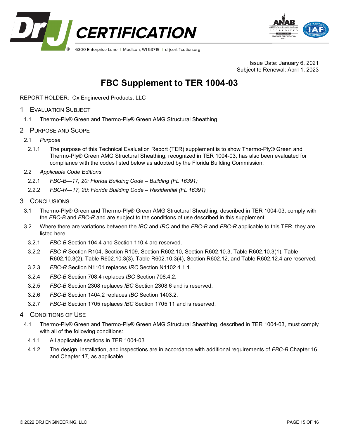



Issue Date: January 6, 2021 Subject to Renewal: April 1, 2023

# **FBC Supplement to TER 1004-03**

REPORT HOLDER: Ox Engineered Products, LLC

- 1 EVALUATION SUBJECT
	- 1.1 Thermo-Ply® Green and Thermo-Ply® Green AMG Structural Sheathing
- 2 PURPOSE AND SCOPE
- 2.1 *Purpose*
	- 2.1.1 The purpose of this Technical Evaluation Report (TER) supplement is to show Thermo-Ply® Green and Thermo-Ply® Green AMG Structural Sheathing, recognized in TER 1004-03, has also been evaluated for compliance with the codes listed below as adopted by the Florida Building Commission.
- 2.2 *Applicable Code Editions*
	- 2.2.1 *FBC-B—17, 20: Florida Building Code – Building (FL 16391)*
	- 2.2.2 *FBC-R—17, 20: Florida Building Code – Residential (FL 16391)*
- 3 CONCLUSIONS
	- 3.1 Thermo-Ply® Green and Thermo-Ply® Green AMG Structural Sheathing, described in TER 1004-03, comply with the *FBC-B* and *FBC-R* and are subject to the conditions of use described in this supplement.
	- 3.2 Where there are variations between the *IBC* and *IRC* and the *FBC-B* and *FBC-R* applicable to this TER, they are listed here.
		- 3.2.1 *FBC-B* Section 104.4 and Section 110.4 are reserved.
		- 3.2.2 *FBC-R* Section R104, Section R109, Section R602.10, Section R602.10.3, Table R602.10.3(1), Table R602.10.3(2), Table R602.10.3(3), Table R602.10.3(4), Section R602.12, and Table R602.12.4 are reserved.
		- 3.2.3 *FBC-R* Section N1101 replaces *IRC* Section N1102.4.1.1.
		- 3.2.4 *FBC-B* Section 708.4 replaces *IBC* Section 708.4.2.
		- 3.2.5 *FBC-B* Section 2308 replaces *IBC* Section 2308.6 and is reserved.
	- 3.2.6 *FBC-B* Section 1404.2 replaces *IBC* Section 1403.2.
	- 3.2.7 *FBC-B* Section 1705 replaces *IBC* Section 1705.11 and is reserved.
- 4 CONDITIONS OF USE
- 4.1 Thermo-Ply® Green and Thermo-Ply® Green AMG Structural Sheathing, described in TER 1004-03, must comply with all of the following conditions:
	- 4.1.1 All applicable sections in TER 1004-03
	- 4.1.2 The design, installation, and inspections are in accordance with additional requirements of *FBC-B* Chapter 16 and Chapter 17, as applicable.